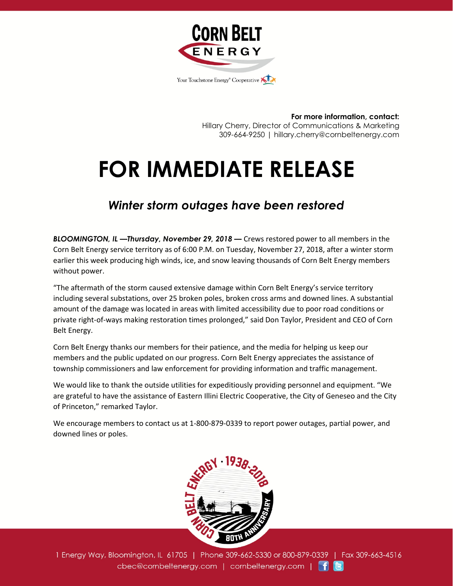

**For more information, contact:** Hillary Cherry, Director of Communications & Marketing 309-664-9250 | hillary.cherry@cornbeltenergy.com

## **FOR IMMEDIATE RELEASE**

## *Winter storm outages have been restored*

*BLOOMINGTON, IL —Thursday, November 29, 2018 —* Crews restored power to all members in the Corn Belt Energy service territory as of 6:00 P.M. on Tuesday, November 27, 2018, after a winter storm earlier this week producing high winds, ice, and snow leaving thousands of Corn Belt Energy members without power.

"The aftermath of the storm caused extensive damage within Corn Belt Energy's service territory including several substations, over 25 broken poles, broken cross arms and downed lines. A substantial amount of the damage was located in areas with limited accessibility due to poor road conditions or private right-of-ways making restoration times prolonged," said Don Taylor, President and CEO of Corn Belt Energy.

Corn Belt Energy thanks our members for their patience, and the media for helping us keep our members and the public updated on our progress. Corn Belt Energy appreciates the assistance of township commissioners and law enforcement for providing information and traffic management.

We would like to thank the outside utilities for expeditiously providing personnel and equipment. "We are grateful to have the assistance of Eastern Illini Electric Cooperative, the City of Geneseo and the City of Princeton," remarked Taylor.

We encourage members to contact us at 1-800-879-0339 to report power outages, partial power, and downed lines or poles.



1 Energy Way, Bloomington, IL 61705 | Phone 309-662-5330 or 800-879-0339 | Fax 309-663-4516 cbec@cornbeltenergy.com | cornbeltenergy.com | f